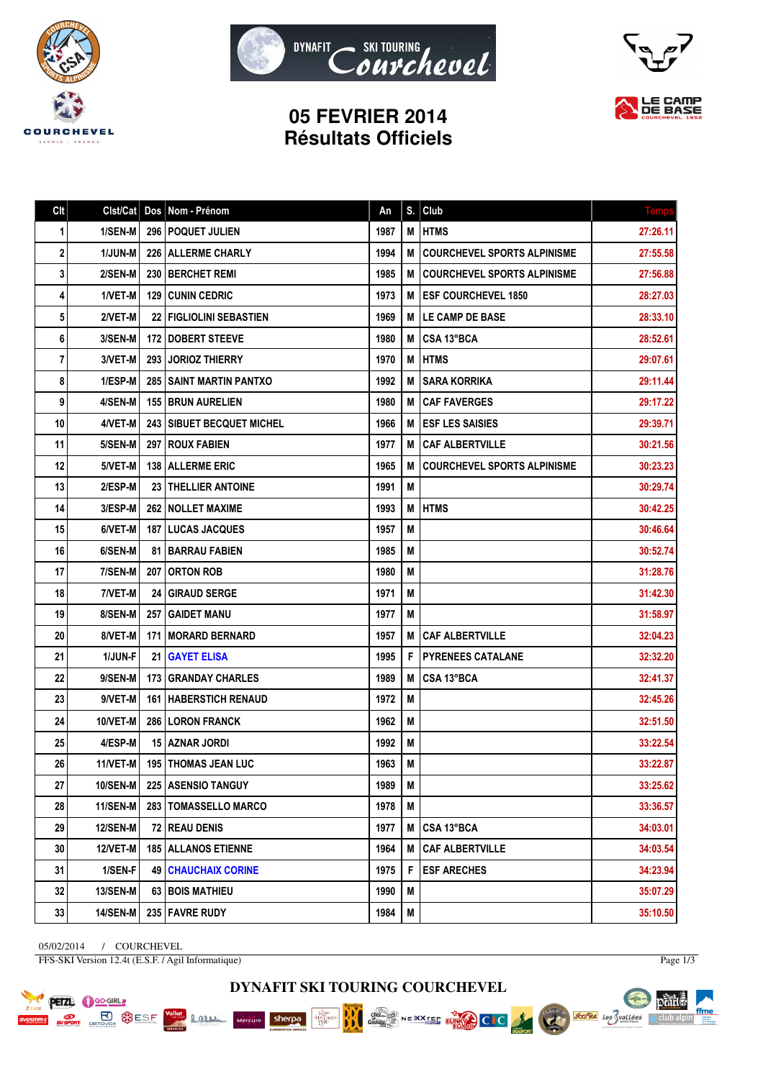





## **05 FEVRIER 2014 Résultats Officiels**

| C <sub>It</sub> | Clst/Cat        |     | Dos Nom - Prénom                   | An   | S. | Club                               | <b>Temps</b> |
|-----------------|-----------------|-----|------------------------------------|------|----|------------------------------------|--------------|
| 1               | 1/SEN-M         |     | 296   POQUET JULIEN                | 1987 | M  | <b>HTMS</b>                        | 27:26.11     |
| 2               | <b>1/JUN-M</b>  |     | 226   ALLERME CHARLY               | 1994 | M  | <b>COURCHEVEL SPORTS ALPINISME</b> | 27:55.58     |
| 3               | 2/SEN-M         |     | 230 I BERCHET REMI                 | 1985 | M  | <b>COURCHEVEL SPORTS ALPINISME</b> | 27:56.88     |
| 4               | 1/VET-M         |     | <b>129 CUNIN CEDRIC</b>            | 1973 | M  | <b>ESF COURCHEVEL 1850</b>         | 28:27.03     |
| 5               | 2/VET-M         |     | <b>22   FIGLIOLINI SEBASTIEN</b>   | 1969 | M  | <b>LE CAMP DE BASE</b>             | 28:33.10     |
| 6               | 3/SEN-M         |     | 172 DOBERT STEEVE                  | 1980 | M  | <b>CSA 13°BCA</b>                  | 28:52.61     |
| 7               | 3/VET-M         |     | <b>293 JORIOZ THIERRY</b>          | 1970 | M  | <b>HTMS</b>                        | 29:07.61     |
| 8               | 1/ESP-M         |     | <b>285   SAINT MARTIN PANTXO</b>   | 1992 | M  | <b>SARA KORRIKA</b>                | 29:11.44     |
| 9               | 4/SEN-M         |     | 155   BRUN AURELIEN                | 1980 | M  | <b>CAF FAVERGES</b>                | 29:17.22     |
| 10              | 4/VET-M         |     | <b>243   SIBUET BECQUET MICHEL</b> | 1966 | M  | <b>ESF LES SAISIES</b>             | 29:39.71     |
| 11              | 5/SEN-M         |     | 297   ROUX FABIEN                  | 1977 | M  | <b>CAF ALBERTVILLE</b>             | 30:21.56     |
| 12              | 5/VET-M         |     | 138 ALLERME ERIC                   | 1965 | M  | <b>COURCHEVEL SPORTS ALPINISME</b> | 30:23.23     |
| 13              | 2/ESP-M         |     | 23   THELLIER ANTOINE              | 1991 | M  |                                    | 30:29.74     |
| 14              | 3/ESP-M         |     | <b>262 INOLLET MAXIME</b>          | 1993 | M  | <b>HTMS</b>                        | 30:42.25     |
| 15              | 6/VET-M         |     | <b>187   LUCAS JACQUES</b>         | 1957 | M  |                                    | 30:46.64     |
| 16              | 6/SEN-M         |     | <b>81   BARRAU FABIEN</b>          | 1985 | M  |                                    | 30:52.74     |
| 17              | 7/SEN-M         |     | <b>207   ORTON ROB</b>             | 1980 | M  |                                    | 31:28.76     |
| 18              | 7/VET-M         | 24  | <b>GIRAUD SERGE</b>                | 1971 | M  |                                    | 31:42.30     |
| 19              | 8/SEN-M         | 257 | <b>GAIDET MANU</b>                 | 1977 | M  |                                    | 31:58.97     |
| 20              | 8/VET-M         |     | 171   MORARD BERNARD               | 1957 | M  | <b>CAF ALBERTVILLE</b>             | 32:04.23     |
| 21              | 1/JUN-F         |     | 21   GAYET ELISA                   | 1995 | F  | <b>PYRENEES CATALANE</b>           | 32:32.20     |
| 22              | 9/SEN-M         |     | 173   GRANDAY CHARLES              | 1989 | M  | CSA 13°BCA                         | 32:41.37     |
| 23              | 9/VET-M         |     | <b>161   HABERSTICH RENAUD</b>     | 1972 | M  |                                    | 32:45.26     |
| 24              | 10/VET-M        |     | <b>286   LORON FRANCK</b>          | 1962 | M  |                                    | 32:51.50     |
| 25              | 4/ESP-M         |     | 15 AZNAR JORDI                     | 1992 | М  |                                    | 33:22.54     |
| 26              | 11/VET-M        |     | <b>195   THOMAS JEAN LUC</b>       | 1963 | M  |                                    | 33:22.87     |
| 27              | 10/SEN-M        |     | 225   ASENSIO TANGUY               | 1989 | M  |                                    | 33:25.62     |
| 28              | 11/SEN-M        |     | 283   TOMASSELLO MARCO             | 1978 | M  |                                    | 33:36.57     |
| 29              | 12/SEN-M        |     | 72   REAU DENIS                    | 1977 | M  | CSA 13°BCA                         | 34:03.01     |
| 30              | <b>12/VET-M</b> |     | <b>185   ALLANOS ETIENNE</b>       | 1964 | M  | <b>CAF ALBERTVILLE</b>             | 34:03.54     |
| 31              | 1/SEN-F         |     | <b>49   CHAUCHAIX CORINE</b>       | 1975 | F  | <b>ESF ARECHES</b>                 | 34:23.94     |
| 32              | <b>13/SEN-M</b> |     | 63   BOIS MATHIEU                  | 1990 | M  |                                    | 35:07.29     |
| 33              | <b>14/SEN-M</b> |     | 235   FAVRE RUDY                   | 1984 | M  |                                    | 35:10.50     |

05/02/2014 / COURCHEVEL FFS-SKI Version 12.4t (E.S.F. / Agil Informatique)

PETZL OGOGIRL

**PORT BUSE OF STRANGE SESP** 

**Lame** 

Page  $1/3$ 

pêart.

 $\mathbb{A}$  club alpin

ffme

Voules des Svallées



Chez.<br>Gaulot

NE XXTER FUND CIC

RK

**MAG** 

sherpa

Mercure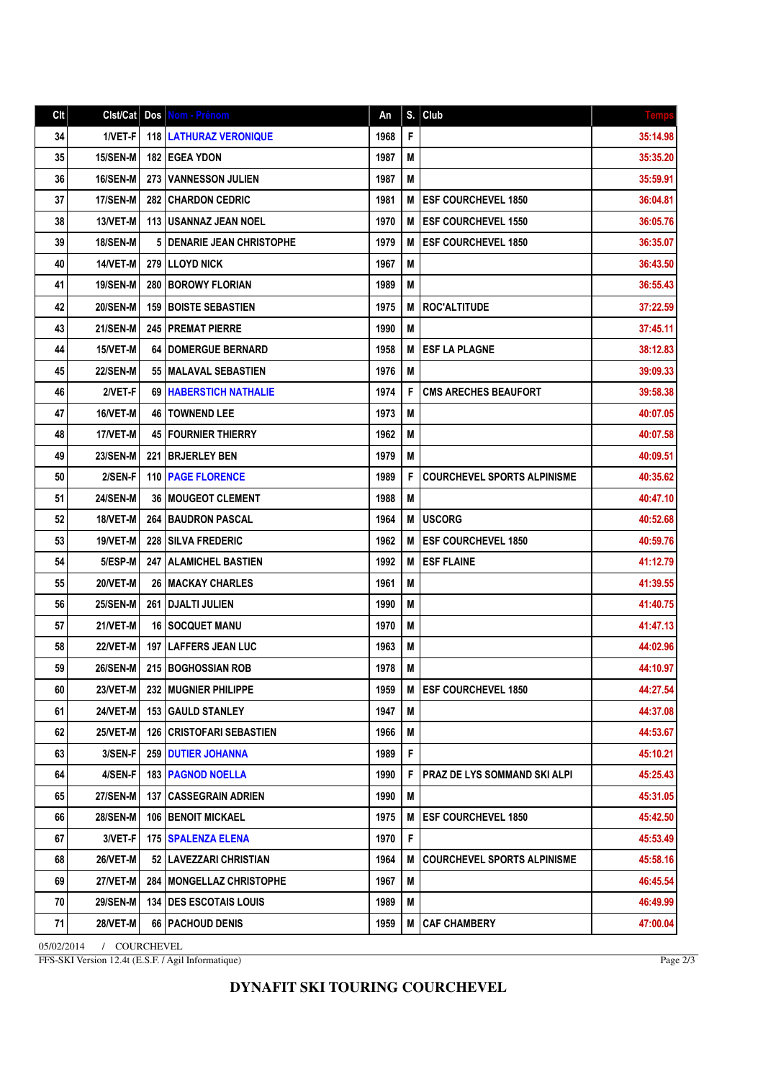| Clt | Clst/Cat        | Dos  | Nom - Prénom                    | An   | S. | Club                               | <b>Temps</b> |
|-----|-----------------|------|---------------------------------|------|----|------------------------------------|--------------|
| 34  | 1/VET-F         |      | <b>118   LATHURAZ VERONIQUE</b> | 1968 | F  |                                    | 35:14.98     |
| 35  | 15/SEN-M        |      | <b>182   EGEA YDON</b>          | 1987 | М  |                                    | 35:35.20     |
| 36  | <b>16/SEN-M</b> | 273  | <b>VANNESSON JULIEN</b>         | 1987 | M  |                                    | 35:59.91     |
| 37  | 17/SEN-M        | 282  | <b>CHARDON CEDRIC</b>           | 1981 | М  | <b>ESF COURCHEVEL 1850</b>         | 36:04.81     |
| 38  | 13/VET-M        |      | <b>113 IUSANNAZ JEAN NOEL</b>   | 1970 | M  | <b>ESF COURCHEVEL 1550</b>         | 36:05.76     |
| 39  | <b>18/SEN-M</b> |      | 5 DENARIE JEAN CHRISTOPHE       | 1979 | М  | <b>ESF COURCHEVEL 1850</b>         | 36:35.07     |
| 40  | 14/VET-M        |      | <b>279 ILLOYD NICK</b>          | 1967 | M  |                                    | 36:43.50     |
| 41  | <b>19/SEN-M</b> | 280  | <b>BOROWY FLORIAN</b>           | 1989 | М  |                                    | 36:55.43     |
| 42  | <b>20/SEN-M</b> | 159  | <b>BOISTE SEBASTIEN</b>         | 1975 | М  | <b>ROC'ALTITUDE</b>                | 37:22.59     |
| 43  | 21/SEN-M        |      | 245   PREMAT PIERRE             | 1990 | M  |                                    | 37:45.11     |
| 44  | 15/VET-M        |      | <b>64   DOMERGUE BERNARD</b>    | 1958 | М  | <b>ESF LA PLAGNE</b>               | 38:12.83     |
| 45  | <b>22/SEN-M</b> |      | 55   MALAVAL SEBASTIEN          | 1976 | M  |                                    | 39:09.33     |
| 46  | 2/VET-F         | 69   | <b>HABERSTICH NATHALIE</b>      | 1974 | F  | <b>CMS ARECHES BEAUFORT</b>        | 39:58.38     |
| 47  | 16/VET-M        |      | 46   TOWNEND LEE                | 1973 | M  |                                    | 40:07.05     |
| 48  | 17/VET-M        |      | <b>45   FOURNIER THIERRY</b>    | 1962 | M  |                                    | 40:07.58     |
| 49  | <b>23/SEN-M</b> | 221  | <b>BRJERLEY BEN</b>             | 1979 | M  |                                    | 40:09.51     |
| 50  | 2/SEN-F         | 110  | <b>PAGE FLORENCE</b>            | 1989 | F  | <b>COURCHEVEL SPORTS ALPINISME</b> | 40:35.62     |
| 51  | <b>24/SEN-M</b> |      | <b>36   MOUGEOT CLEMENT</b>     | 1988 | M  |                                    | 40:47.10     |
| 52  | 18/VET-M        | 264  | <b>BAUDRON PASCAL</b>           | 1964 | М  | <b>IUSCORG</b>                     | 40:52.68     |
| 53  | 19/VET-M        | 228  | <b>SILVA FREDERIC</b>           | 1962 | M  | <b>ESF COURCHEVEL 1850</b>         | 40:59.76     |
| 54  | 5/ESP-M         | 247  | <b>ALAMICHEL BASTIEN</b>        | 1992 | M  | <b>ESF FLAINE</b>                  | 41:12.79     |
| 55  | 20/VET-M        | 26   | <b>MACKAY CHARLES</b>           | 1961 | M  |                                    | 41:39.55     |
| 56  | <b>25/SEN-M</b> |      | <b>261 I DJALTI JULIEN</b>      | 1990 | M  |                                    | 41:40.75     |
| 57  | 21/VET-M        |      | <b>16 SOCQUET MANU</b>          | 1970 | M  |                                    | 41:47.13     |
| 58  | <b>22/VET-M</b> | 1971 | <b>LAFFERS JEAN LUC</b>         | 1963 | M  |                                    | 44:02.96     |
| 59  | <b>26/SEN-M</b> |      | 215 BOGHOSSIAN ROB              | 1978 | M  |                                    | 44:10.97     |
| 60  | 23/VET-M        |      | 232 MUGNIER PHILIPPE            | 1959 | M  | <b>ESF COURCHEVEL 1850</b>         | 44:27.54     |
| 61  | 24/VET-M        |      | <b>153 GAULD STANLEY</b>        | 1947 | M  |                                    | 44:37.08     |
| 62  | 25/VET-M        | 126  | <b>CRISTOFARI SEBASTIEN</b>     | 1966 | M  |                                    | 44:53.67     |
| 63  | 3/SEN-F         | 259  | <b>DUTIER JOHANNA</b>           | 1989 | F  |                                    | 45:10.21     |
| 64  | 4/SEN-F         |      | <b>183   PAGNOD NOELLA</b>      | 1990 | F  | PRAZ DE LYS SOMMAND SKI ALPI       | 45:25.43     |
| 65  | <b>27/SEN-M</b> |      | <b>137 CASSEGRAIN ADRIEN</b>    | 1990 | M  |                                    | 45:31.05     |
| 66  | <b>28/SEN-M</b> | 106  | <b>BENOIT MICKAEL</b>           | 1975 | M  | <b>ESF COURCHEVEL 1850</b>         | 45:42.50     |
| 67  | 3/VET-F         |      | 175   SPALENZA ELENA            | 1970 | F  |                                    | 45:53.49     |
| 68  | 26/VET-M        |      | 52   LAVEZZARI CHRISTIAN        | 1964 | M  | <b>COURCHEVEL SPORTS ALPINISME</b> | 45:58.16     |
| 69  | <b>27/VET-M</b> |      | 284   MONGELLAZ CHRISTOPHE      | 1967 | M  |                                    | 46:45.54     |
| 70  | <b>29/SEN-M</b> |      | <b>134   DES ESCOTAIS LOUIS</b> | 1989 | M  |                                    | 46:49.99     |
| 71  | <b>28/VET-M</b> |      | 66   PACHOUD DENIS              | 1959 | M  | <b>CAF CHAMBERY</b>                | 47:00.04     |

05/02/2014 / COURCHEVEL FFS-SKI Version 12.4t (E.S.F. / Agil Informatique)

Page 2/3

## **DYNAFIT SKI TOURING COURCHEVEL**